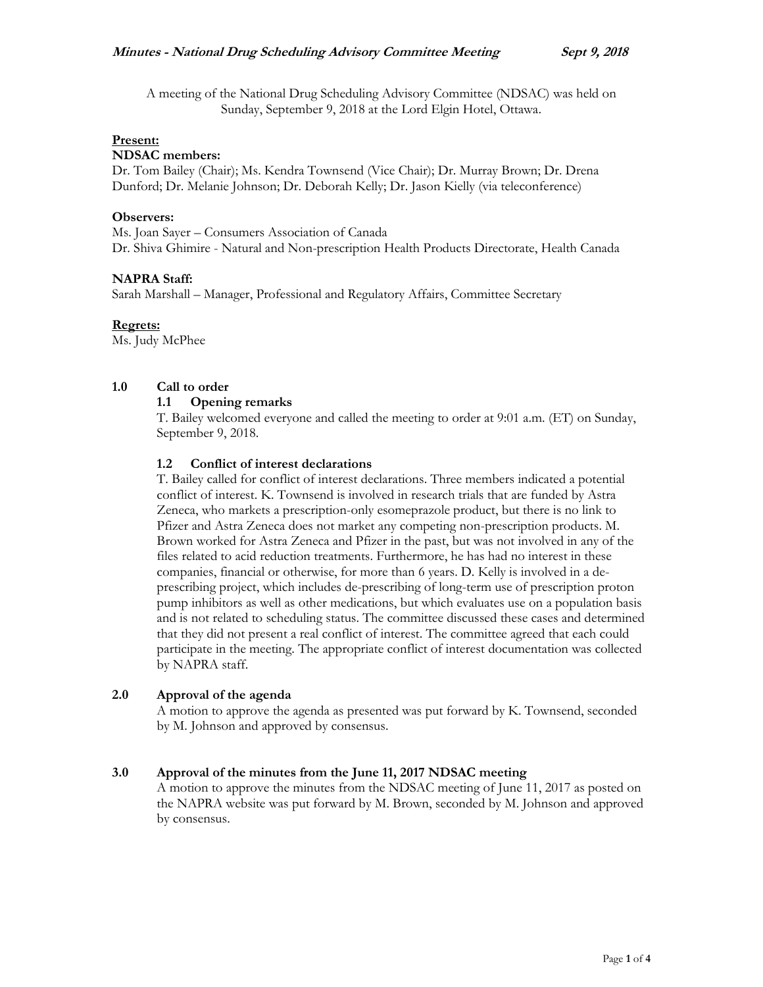A meeting of the National Drug Scheduling Advisory Committee (NDSAC) was held on Sunday, September 9, 2018 at the Lord Elgin Hotel, Ottawa.

### **Present:**

### **NDSAC members:**

Dr. Tom Bailey (Chair); Ms. Kendra Townsend (Vice Chair); Dr. Murray Brown; Dr. Drena Dunford; Dr. Melanie Johnson; Dr. Deborah Kelly; Dr. Jason Kielly (via teleconference)

### **Observers:**

Ms. Joan Sayer – Consumers Association of Canada Dr. Shiva Ghimire - Natural and Non-prescription Health Products Directorate, Health Canada

### **NAPRA Staff:**

Sarah Marshall – Manager, Professional and Regulatory Affairs, Committee Secretary

### **Regrets:**

Ms. Judy McPhee

### **1.0 Call to order**

### **1.1 Opening remarks**

T. Bailey welcomed everyone and called the meeting to order at 9:01 a.m. (ET) on Sunday, September 9, 2018.

### **1.2 Conflict of interest declarations**

T. Bailey called for conflict of interest declarations. Three members indicated a potential conflict of interest. K. Townsend is involved in research trials that are funded by Astra Zeneca, who markets a prescription-only esomeprazole product, but there is no link to Pfizer and Astra Zeneca does not market any competing non-prescription products. M. Brown worked for Astra Zeneca and Pfizer in the past, but was not involved in any of the files related to acid reduction treatments. Furthermore, he has had no interest in these companies, financial or otherwise, for more than 6 years. D. Kelly is involved in a deprescribing project, which includes de-prescribing of long-term use of prescription proton pump inhibitors as well as other medications, but which evaluates use on a population basis and is not related to scheduling status. The committee discussed these cases and determined that they did not present a real conflict of interest. The committee agreed that each could participate in the meeting. The appropriate conflict of interest documentation was collected by NAPRA staff.

### **2.0 Approval of the agenda**

A motion to approve the agenda as presented was put forward by K. Townsend, seconded by M. Johnson and approved by consensus.

### **3.0 Approval of the minutes from the June 11, 2017 NDSAC meeting**

A motion to approve the minutes from the NDSAC meeting of June 11, 2017 as posted on the NAPRA website was put forward by M. Brown, seconded by M. Johnson and approved by consensus.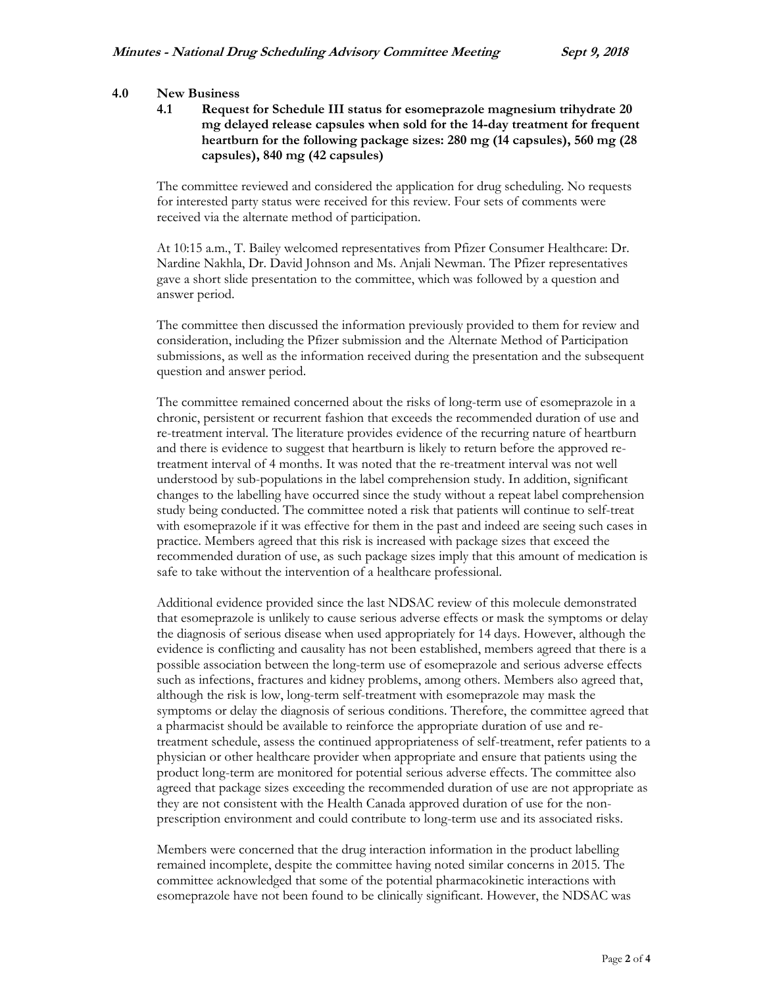### **4.0 New Business**

**4.1 Request for Schedule III status for esomeprazole magnesium trihydrate 20 mg delayed release capsules when sold for the 14-day treatment for frequent heartburn for the following package sizes: 280 mg (14 capsules), 560 mg (28 capsules), 840 mg (42 capsules)**

The committee reviewed and considered the application for drug scheduling. No requests for interested party status were received for this review. Four sets of comments were received via the alternate method of participation.

At 10:15 a.m., T. Bailey welcomed representatives from Pfizer Consumer Healthcare: Dr. Nardine Nakhla, Dr. David Johnson and Ms. Anjali Newman. The Pfizer representatives gave a short slide presentation to the committee, which was followed by a question and answer period.

The committee then discussed the information previously provided to them for review and consideration, including the Pfizer submission and the Alternate Method of Participation submissions, as well as the information received during the presentation and the subsequent question and answer period.

The committee remained concerned about the risks of long-term use of esomeprazole in a chronic, persistent or recurrent fashion that exceeds the recommended duration of use and re-treatment interval. The literature provides evidence of the recurring nature of heartburn and there is evidence to suggest that heartburn is likely to return before the approved retreatment interval of 4 months. It was noted that the re-treatment interval was not well understood by sub-populations in the label comprehension study. In addition, significant changes to the labelling have occurred since the study without a repeat label comprehension study being conducted. The committee noted a risk that patients will continue to self-treat with esomeprazole if it was effective for them in the past and indeed are seeing such cases in practice. Members agreed that this risk is increased with package sizes that exceed the recommended duration of use, as such package sizes imply that this amount of medication is safe to take without the intervention of a healthcare professional.

Additional evidence provided since the last NDSAC review of this molecule demonstrated that esomeprazole is unlikely to cause serious adverse effects or mask the symptoms or delay the diagnosis of serious disease when used appropriately for 14 days. However, although the evidence is conflicting and causality has not been established, members agreed that there is a possible association between the long-term use of esomeprazole and serious adverse effects such as infections, fractures and kidney problems, among others. Members also agreed that, although the risk is low, long-term self-treatment with esomeprazole may mask the symptoms or delay the diagnosis of serious conditions. Therefore, the committee agreed that a pharmacist should be available to reinforce the appropriate duration of use and retreatment schedule, assess the continued appropriateness of self-treatment, refer patients to a physician or other healthcare provider when appropriate and ensure that patients using the product long-term are monitored for potential serious adverse effects. The committee also agreed that package sizes exceeding the recommended duration of use are not appropriate as they are not consistent with the Health Canada approved duration of use for the nonprescription environment and could contribute to long-term use and its associated risks.

Members were concerned that the drug interaction information in the product labelling remained incomplete, despite the committee having noted similar concerns in 2015. The committee acknowledged that some of the potential pharmacokinetic interactions with esomeprazole have not been found to be clinically significant. However, the NDSAC was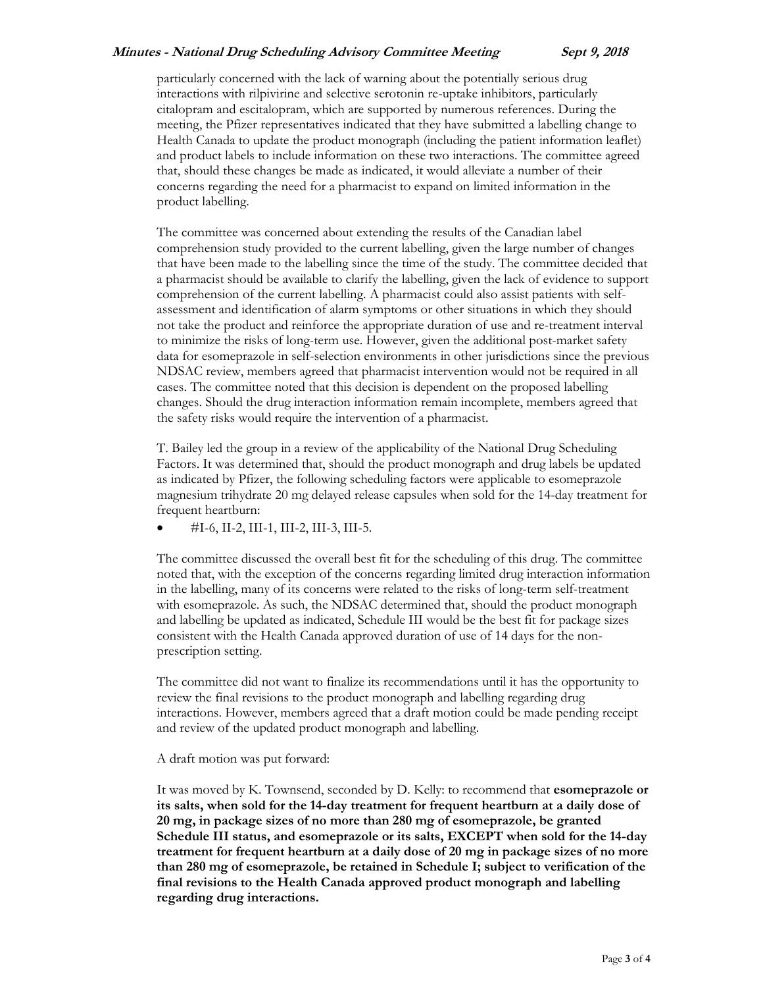## **Minutes - National Drug Scheduling Advisory Committee Meeting Sept 9, 2018**

particularly concerned with the lack of warning about the potentially serious drug interactions with rilpivirine and selective serotonin re-uptake inhibitors, particularly citalopram and escitalopram, which are supported by numerous references. During the meeting, the Pfizer representatives indicated that they have submitted a labelling change to Health Canada to update the product monograph (including the patient information leaflet) and product labels to include information on these two interactions. The committee agreed that, should these changes be made as indicated, it would alleviate a number of their concerns regarding the need for a pharmacist to expand on limited information in the product labelling.

The committee was concerned about extending the results of the Canadian label comprehension study provided to the current labelling, given the large number of changes that have been made to the labelling since the time of the study. The committee decided that a pharmacist should be available to clarify the labelling, given the lack of evidence to support comprehension of the current labelling. A pharmacist could also assist patients with selfassessment and identification of alarm symptoms or other situations in which they should not take the product and reinforce the appropriate duration of use and re-treatment interval to minimize the risks of long-term use. However, given the additional post-market safety data for esomeprazole in self-selection environments in other jurisdictions since the previous NDSAC review, members agreed that pharmacist intervention would not be required in all cases. The committee noted that this decision is dependent on the proposed labelling changes. Should the drug interaction information remain incomplete, members agreed that the safety risks would require the intervention of a pharmacist.

T. Bailey led the group in a review of the applicability of the National Drug Scheduling Factors. It was determined that, should the product monograph and drug labels be updated as indicated by Pfizer, the following scheduling factors were applicable to esomeprazole magnesium trihydrate 20 mg delayed release capsules when sold for the 14-day treatment for frequent heartburn:

#I-6, II-2, III-1, III-2, III-3, III-5.

The committee discussed the overall best fit for the scheduling of this drug. The committee noted that, with the exception of the concerns regarding limited drug interaction information in the labelling, many of its concerns were related to the risks of long-term self-treatment with esomeprazole. As such, the NDSAC determined that, should the product monograph and labelling be updated as indicated, Schedule III would be the best fit for package sizes consistent with the Health Canada approved duration of use of 14 days for the nonprescription setting.

The committee did not want to finalize its recommendations until it has the opportunity to review the final revisions to the product monograph and labelling regarding drug interactions. However, members agreed that a draft motion could be made pending receipt and review of the updated product monograph and labelling.

A draft motion was put forward:

It was moved by K. Townsend, seconded by D. Kelly: to recommend that **esomeprazole or its salts, when sold for the 14-day treatment for frequent heartburn at a daily dose of 20 mg, in package sizes of no more than 280 mg of esomeprazole, be granted Schedule III status, and esomeprazole or its salts, EXCEPT when sold for the 14-day treatment for frequent heartburn at a daily dose of 20 mg in package sizes of no more than 280 mg of esomeprazole, be retained in Schedule I; subject to verification of the final revisions to the Health Canada approved product monograph and labelling regarding drug interactions.**